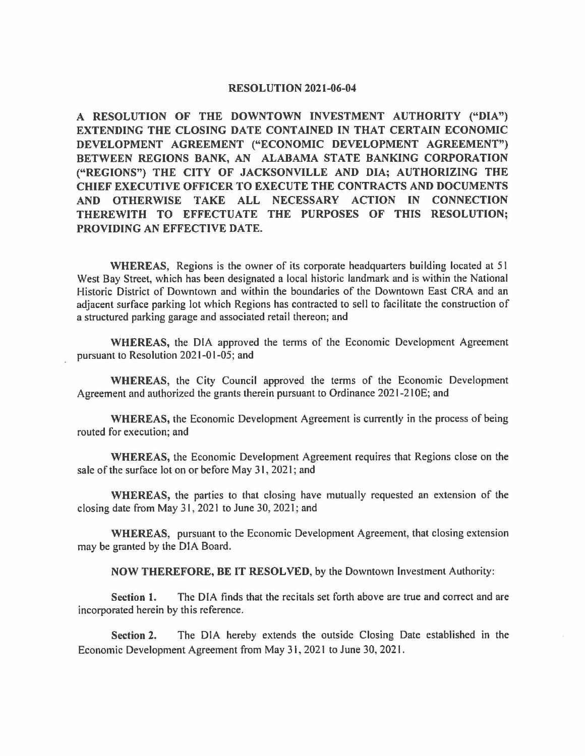## **RESOLUTION 2021-06-04**

**A RESOLUTION OF THE DOWNTOWN INVESTMENT AUTHORITY ("DIA") EXTENDING THE CLOSING DATE CONTAINED IN THAT CERTAIN ECONOMIC DEVELOPMENT AGREEMENT ("ECONOMIC DEVELOPMENT AGREEMENT")**  BETWEEN REGIONS BANK, AN ALABAMA STATE BANKING CORPORATION **("REGIONS") THE CITY OF JACKSONVILLE AND DIA; AUTHORIZING THE CHIEF EXECUTIVE OFFICER TO EXECUTE THE CONTRACTS AND DOCUMENTS AND OTHERWISE TAKE ALL NECESSARY ACTION IN CONNECTION THEREWITH TO EFFECTUATE THE PURPOSES OF THIS RESOLUTION; PROVIDING AN EFFECTIVE DATE.** 

**WHEREAS,** Regions is the owner of its corporate headquarters building located at 51 West Bay Street, which has been designated a local historic landmark and is within the National Historic District of Downtown and within the boundaries of the Downtown East CRA and an adjacent surface parking lot which Regions has contracted to sell to facilitate the construction of a structured parking garage and associated retail thereon; and

**WHEREAS,** the DIA approved the terms of the Economic Development Agreement pursuant to Resolution 2021-01-05; and

**WHEREAS,** the City Council approved the terms of the Economic Development Agreement and authorized the grants therein pursuant to Ordinance 2021-21 OE; and

**WHEREAS,** the Economic Development Agreement is currently in the process of being routed for execution; and

**WHEREAS,** the Economic Development Agreement requires that Regions close on the sale of the surface lot on or before May 31, 2021; and

**WHEREAS,** the parties to that closing have mutually requested an extension of the closing date from May 31, 2021 to June 30, 2021; and

**WHEREAS,** pursuant to the Economic Development Agreement, that closing extension may be granted by the DIA Board.

**NOW THEREFORE, BE IT RESOLVED,** by the Downtown Investment Authority:

**Section 1.** The DIA finds that the recitals set forth above are true and correct and are incorporated herein by this reference.

**Section 2.** The DIA hereby extends the outside Closing Date established in the Economic Development Agreement from May 31, 2021 to June 30, 2021.